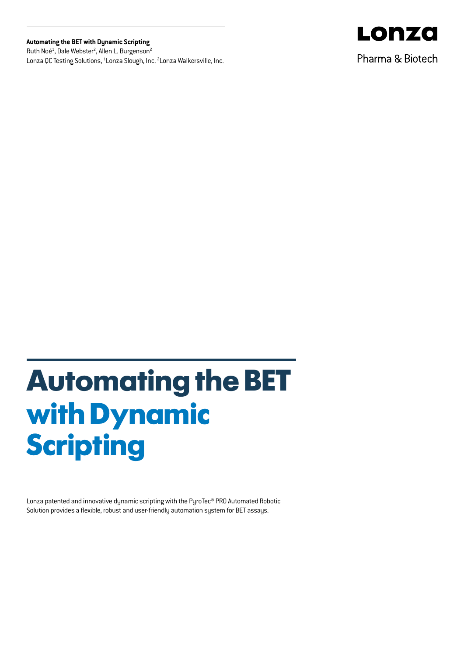## **Automating the BET with Dynamic Scripting**

Ruth Noé<sup>1</sup>, Dale Webster<sup>2</sup>, Allen L. Burgenson<sup>2</sup> Lonza QC Testing Solutions, <sup>1</sup>Lonza Slough, Inc. <sup>2</sup>Lonza Walkersville, Inc.



Pharma & Biotech

# **Automating the BET with Dynamic Scripting**

Lonza patented and innovative dynamic scripting with the PyroTec® PRO Automated Robotic Solution provides a flexible, robust and user-friendly automation system for BET assays.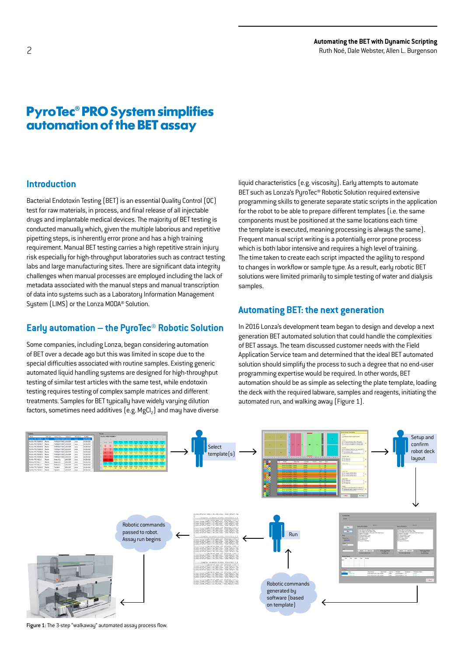## **PyroTec® PRO System simplifies automation of the BET assay**

## **Introduction**

Bacterial Endotoxin Testing (BET) is an essential Quality Control (QC) test for raw materials, in process, and final release of all injectable drugs and implantable medical devices. The majority of BET testing is conducted manually which, given the multiple laborious and repetitive pipetting steps, is inherently error prone and has a high training requirement. Manual BET testing carries a high repetitive strain injury risk especially for high-throughput laboratories such as contract testing labs and large manufacturing sites. There are significant data integrity challenges when manual processes are employed including the lack of metadata associated with the manual steps and manual transcription of data into systems such as a Laboratory Information Management System (LIMS) or the Lonza MODA® Solution.

## **Early automation – the PyroTec® Robotic Solution**

Some companies, including Lonza, began considering automation of BET over a decade ago but this was limited in scope due to the special difficulties associated with routine samples. Existing generic automated liquid handling systems are designed for high-throughput testing of similar test articles with the same test, while endotoxin testing requires testing of complex sample matrices and different treatments. Samples for BET typically have widely varying dilution factors, sometimes need additives  $[e.g. MgCl<sub>2</sub>]$  and may have diverse

liquid characteristics (e.g. viscosity). Early attempts to automate BET such as Lonza's PyroTec® Robotic Solution required extensive programming skills to generate separate static scripts in the application for the robot to be able to prepare different templates (i.e. the same components must be positioned at the same locations each time the template is executed, meaning processing is always the same). Frequent manual script writing is a potentially error prone process which is both labor intensive and requires a high level of training. The time taken to create each script impacted the agility to respond to changes in workflow or sample type. As a result, early robotic BET solutions were limited primarily to simple testing of water and dialysis samples.

## **Automating BET: the next generation**

In 2016 Lonza's development team began to design and develop a next generation BET automated solution that could handle the complexities of BET assays. The team discussed customer needs with the Field Application Service team and determined that the ideal BET automated solution should simplify the process to such a degree that no end-user programming expertise would be required. In other words, BET automation should be as simple as selecting the plate template, loading the deck with the required labware, samples and reagents, initiating the automated run, and walking away (Figure 1).



Figure 1: The 3-step "walkaway" automated assay process flow.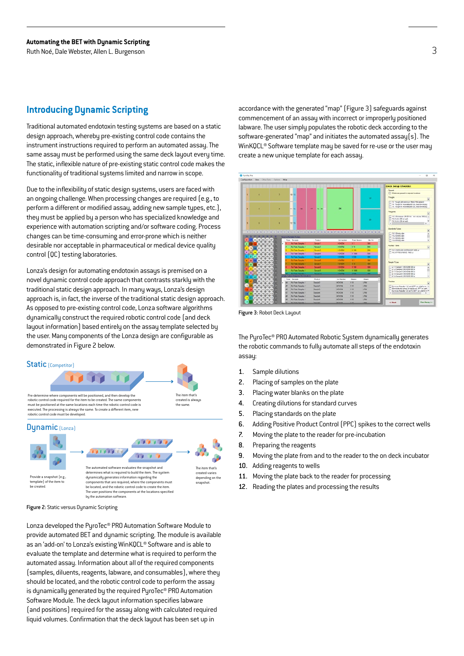## **Introducing Dynamic Scripting**

Traditional automated endotoxin testing systems are based on a static design approach, whereby pre-existing control code contains the instrument instructions required to perform an automated assay. The same assay must be performed using the same deck layout every time. The static, inflexible nature of pre-existing static control code makes the functionality of traditional systems limited and narrow in scope.

Due to the inflexibility of static design systems, users are faced with an ongoing challenge. When processing changes are required (e.g., to perform a different or modified assay, adding new sample types, etc.), they must be applied by a person who has specialized knowledge and experience with automation scripting and/or software coding. Process changes can be time-consuming and error-prone which is neither desirable nor acceptable in pharmaceutical or medical device quality control (QC) testing laboratories.

Lonza's design for automating endotoxin assays is premised on a novel dunamic control code approach that contrasts starkly with the traditional static design approach. In many ways, Lonza's design approach is, in fact, the inverse of the traditional static design approach. As opposed to pre-existing control code, Lonza software algorithms dynamically construct the required robotic control code (and deck layout information) based entirely on the assay template selected by the user. Many components of the Lonza design are configurable as demonstrated in Figure 2 below.



Figure 2: Static versus Dynamic Scripting

Lonza developed the PyroTec® PRO Automation Software Module to provide automated BET and dynamic scripting. The module is available as an 'add-on' to Lonza's existing WinKQCL® Software and is able to evaluate the template and determine what is required to perform the automated assay. Information about all of the required components (samples, diluents, reagents, labware, and consumables), where they should be located, and the robotic control code to perform the assay is dynamically generated by the required PyroTec® PRO Automation Software Module. The deck layout information specifies labware (and positions) required for the assay along with calculated required liquid volumes. Confirmation that the deck layout has been set up in

accordance with the generated "map" (Figure 3) safeguards against commencement of an assay with incorrect or improperly positioned labware. The user simply populates the robotic deck according to the software-generated "map" and initiates the automated assay(s). The WinKQCL® Software template may be saved for re-use or the user may create a new unique template for each assay.



Figure 3: Robot Deck Layout

The PyroTec® PRO Automated Robotic System dynamically generates the robotic commands to fully automate all steps of the endotoxin assay:

- 1. Sample dilutions
- 2. Placing of samples on the plate
- 3. Placing water blanks on the plate
- 4. Creating dilutions for standard curves
- 5. Placing standards on the plate
- 6. Adding Positive Product Control (PPC) spikes to the correct wells
- 7. Moving the plate to the reader for pre-incubation
- 8. Preparing the reagents
- 9. Moving the plate from and to the reader to the on deck incubator
- 10. Adding reagents to wells
- 11. Moving the plate back to the reader for processing
- 12. Reading the plates and processing the results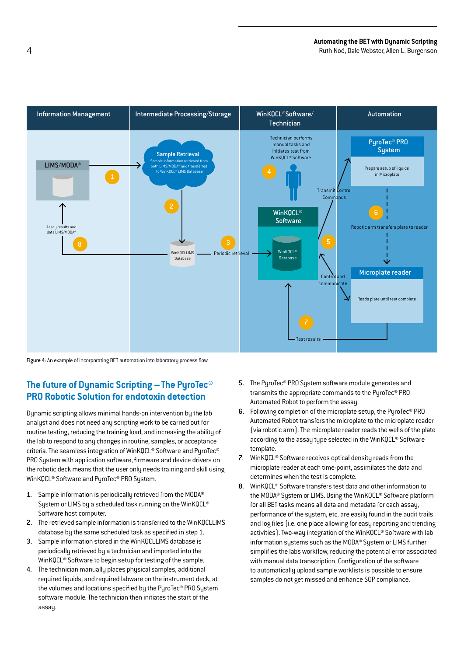4 Ruth Noé, Dale Webster, Allen L. Burgenson



Figure 4: An example of incorporating BET automation into laboratory process flow

## **The future of Dynamic Scripting –The PyroTec® PRO Robotic Solution for endotoxin detection**

Dynamic scripting allows minimal hands-on intervention by the lab analyst and does not need any scripting work to be carried out for routine testing, reducing the training load, and increasing the ability of the lab to respond to any changes in routine, samples, or acceptance criteria. The seamless integration of WinKQCL® Software and PyroTec® PRO System with application software, firmware and device drivers on the robotic deck means that the user only needs training and skill using WinKQCL® Software and PyroTec® PRO System.

- 1. Sample information is periodically retrieved from the MODA® System or LIMS by a scheduled task running on the WinKQCL® Software host computer.
- 2. The retrieved sample information is transferred to the WinKQCLLIMS database by the same scheduled task as specified in step 1.
- 3. Sample information stored in the WinKQCLLIMS database is periodically retrieved by a technician and imported into the WinKQCL® Software to begin setup for testing of the sample.
- 4. The technician manually places physical samples, additional required liquids, and required labware on the instrument deck, at the volumes and locations specified by the PyroTec® PRO System software module. The technician then initiates the start of the assay.
- 5. The PyroTec® PRO System software module generates and transmits the appropriate commands to the PyroTec® PRO Automated Robot to perform the assay.
- 6. Following completion of the microplate setup, the PyroTec® PRO Automated Robot transfers the microplate to the microplate reader (via robotic arm). The microplate reader reads the wells of the plate according to the assay type selected in the WinKQCL® Software template.
- 7. WinKQCL® Software receives optical density reads from the microplate reader at each time-point, assimilates the data and determines when the test is complete.
- 8. WinKQCL® Software transfers test data and other information to the MODA® System or LIMS. Using the WinKQCL® Software platform for all BET tasks means all data and metadata for each assay, performance of the system, etc. are easily found in the audit trails and log files (i.e. one place allowing for easy reporting and trending activities). Two-way integration of the WinKQCL® Software with lab information sustems such as the MODA® Sustem or LIMS further simplifies the labs workflow, reducing the potential error associated with manual data transcription. Configuration of the software to automatically upload sample worklists is possible to ensure samples do not get missed and enhance SOP compliance.